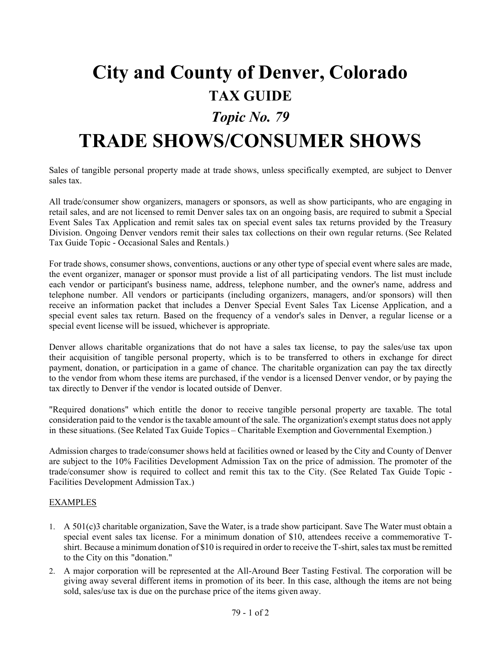# **City and County of Denver, Colorado TAX GUIDE**

### *Topic No. 79*

## **TRADE SHOWS/CONSUMER SHOWS**

Sales of tangible personal property made at trade shows, unless specifically exempted, are subject to Denver sales tax.

All trade/consumer show organizers, managers or sponsors, as well as show participants, who are engaging in retail sales, and are not licensed to remit Denver sales tax on an ongoing basis, are required to submit a Special Event Sales Tax Application and remit sales tax on special event sales tax returns provided by the Treasury Division. Ongoing Denver vendors remit their sales tax collections on their own regular returns. (See Related Tax Guide Topic - Occasional Sales and Rentals.)

For trade shows, consumer shows, conventions, auctions or any other type of special event where sales are made, the event organizer, manager or sponsor must provide a list of all participating vendors. The list must include each vendor or participant's business name, address, telephone number, and the owner's name, address and telephone number. All vendors or participants (including organizers, managers, and/or sponsors) will then receive an information packet that includes a Denver Special Event Sales Tax License Application, and a special event sales tax return. Based on the frequency of a vendor's sales in Denver, a regular license or a special event license will be issued, whichever is appropriate.

Denver allows charitable organizations that do not have a sales tax license, to pay the sales/use tax upon their acquisition of tangible personal property, which is to be transferred to others in exchange for direct payment, donation, or participation in a game of chance. The charitable organization can pay the tax directly to the vendor from whom these items are purchased, if the vendor is a licensed Denver vendor, or by paying the tax directly to Denver if the vendor is located outside of Denver.

"Required donations" which entitle the donor to receive tangible personal property are taxable. The total consideration paid to the vendor is the taxable amount of the sale. The organization's exempt status does not apply in these situations. (See Related Tax Guide Topics – Charitable Exemption and Governmental Exemption.)

Admission charges to trade/consumer shows held at facilities owned or leased by the City and County of Denver are subject to the 10% Facilities Development Admission Tax on the price of admission. The promoter of the trade/consumer show is required to collect and remit this tax to the City. (See Related Tax Guide Topic - Facilities Development AdmissionTax.)

### EXAMPLES

- 1. A 501(c)3 charitable organization, Save the Water, is a trade show participant. Save The Water must obtain a special event sales tax license. For a minimum donation of \$10, attendees receive a commemorative Tshirt. Because a minimum donation of \$10 is required in order to receive the T-shirt, sales tax must be remitted to the City on this "donation."
- 2. A major corporation will be represented at the All-Around Beer Tasting Festival. The corporation will be giving away several different items in promotion of its beer. In this case, although the items are not being sold, sales/use tax is due on the purchase price of the items given away.